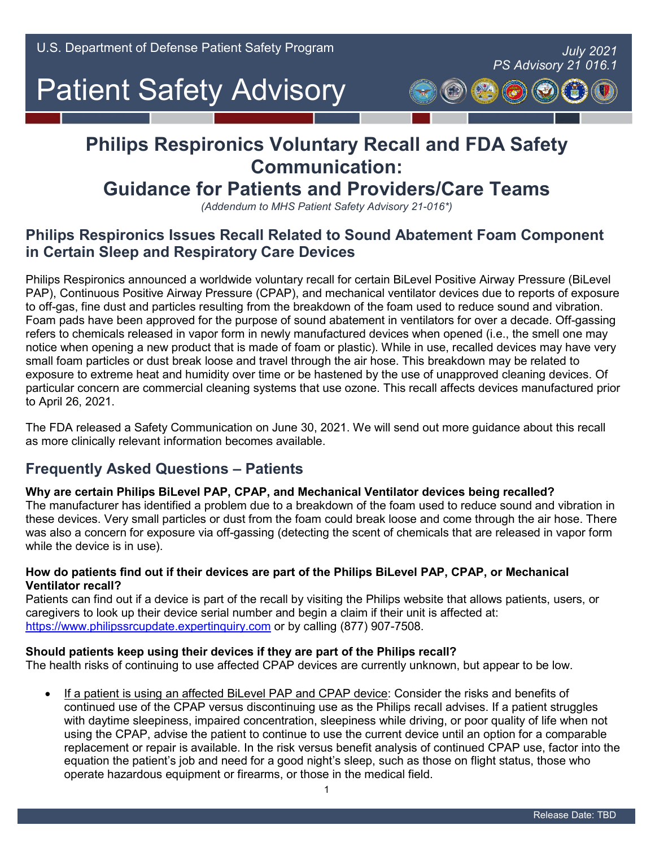# *- PS Advisory 21 016.1*

# **Philips Respironics Voluntary Recall and FDA Safety Communication:**

## **Guidance for Patients and Providers/Care Teams**

*(Addendum to MHS Patient Safety Advisory 21-016\*)* 

### **Philips Respironics Issues Recall Related to Sound Abatement Foam Component in Certain Sleep and Respiratory Care Devices**

 Philips Respironics announced a worldwide voluntary recall for certain BiLevel Positive Airway Pressure (BiLevel PAP), Continuous Positive Airway Pressure (CPAP), and mechanical ventilator devices due to reports of exposure to off-gas, fine dust and particles resulting from the breakdown of the foam used to reduce sound and vibration. notice when opening a new product that is made of foam or plastic). While in use, recalled devices may have very small foam particles or dust break loose and travel through the air hose. This breakdown may be related to exposure to extreme heat and humidity over time or be hastened by the use of unapproved cleaning devices. Of Foam pads have been approved for the purpose of sound abatement in ventilators for over a decade. Off-gassing refers to chemicals released in vapor form in newly manufactured devices when opened (i.e., the smell one may particular concern are commercial cleaning systems that use ozone. This recall affects devices manufactured prior to April 26, 2021.

 The FDA released a Safety Communication on June 30, 2021. We will send out more guidance about this recall as more clinically relevant information becomes available.

### **Frequently Asked Questions – Patients**

#### **Why are certain Philips BiLevel PAP, CPAP, and Mechanical Ventilator devices being recalled?**

 these devices. Very small particles or dust from the foam could break loose and come through the air hose. There was also a concern for exposure via off-gassing (detecting the scent of chemicals that are released in vapor form The manufacturer has identified a problem due to a breakdown of the foam used to reduce sound and vibration in while the device is in use).

#### **Ventilator recall? How do patients find out if their devices are part of the Philips BiLevel PAP, CPAP, or Mechanical**

 Patients can find out if a device is part of the recall by visiting the Philips website that allows patients, users, or caregivers to look up their device serial number and begin a claim if their unit is affected at: [https://www.philipssrcupdate.expertinquiry.com](https://www.philipssrcupdate.expertinquiry.com/) or by calling (877) 907-7508.

#### **Should patients keep using their devices if they are part of the Philips recall?**

The health risks of continuing to use affected CPAP devices are currently unknown, but appear to be low.

 continued use of the CPAP versus discontinuing use as the Philips recall advises. If a patient struggles with daytime sleepiness, impaired concentration, sleepiness while driving, or poor quality of life when not using the CPAP, advise the patient to continue to use the current device until an option for a comparable replacement or repair is available. In the risk versus benefit analysis of continued CPAP use, factor into the equation the patient's job and need for a good night's sleep, such as those on flight status, those who • If a patient is using an affected BiLevel PAP and CPAP device: Consider the risks and benefits of operate hazardous equipment or firearms, or those in the medical field.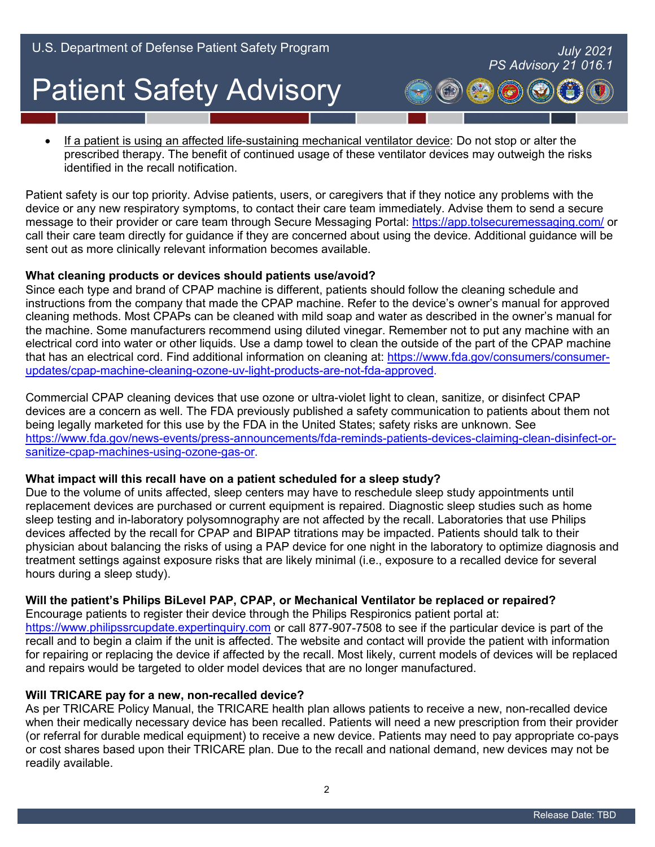identified in the recall notification. • If a patient is using an affected life-sustaining mechanical ventilator device: Do not stop or alter the prescribed therapy. The benefit of continued usage of these ventilator devices may outweigh the risks

identified in the recall notification.<br>Patient safety is our top priority. Advise patients, users, or caregivers that if they notice any problems with the message to their provider or care team through Secure Messaging Portal: <u>https://app.tolsecuremessaging.com/</u> or call their care team directly for guidance if they are concerned about using the device. Additional guidance will be device or any new respiratory symptoms, to contact their care team immediately. Advise them to send a secure sent out as more clinically relevant information becomes available.

#### **What cleaning products or devices should patients use/avoid?**

 cleaning methods. Most CPAPs can be cleaned with mild soap and water as described in the owner's manual for electrical cord into water or other liquids. Use a damp towel to clean the outside of the part of the CPAP machine that has an electrical cord. Find additional information on cleaning at: <u>https://www.fda.gov/consumers/consumer-</u> Since each type and brand of CPAP machine is different, patients should follow the cleaning schedule and instructions from the company that made the CPAP machine. Refer to the device's owner's manual for approved the machine. Some manufacturers recommend using diluted vinegar. Remember not to put any machine with an [updates/cpap-machine-cleaning-ozone-uv-light-products-are-not-fda-approved.](https://www.fda.gov/consumers/consumer-updates/cpap-machine-cleaning-ozone-uv-light-products-are-not-fda-approved)

 devices are a concern as well. The FDA previously published a safety communication to patients about them not Commercial CPAP cleaning devices that use ozone or ultra-violet light to clean, sanitize, or disinfect CPAP being legally marketed for this use by the FDA in the United States; safety risks are unknown. See [https://www.fda.gov/news-events/press-announcements/fda-reminds-patients-devices-claiming-clean-disinfect-or](https://www.fda.gov/news-events/press-announcements/fda-reminds-patients-devices-claiming-clean-disinfect-or-sanitize-cpap-machines-using-ozone-gas-or)[sanitize-cpap-machines-using-ozone-gas-or.](https://www.fda.gov/news-events/press-announcements/fda-reminds-patients-devices-claiming-clean-disinfect-or-sanitize-cpap-machines-using-ozone-gas-or)

#### **What impact will this recall have on a patient scheduled for a sleep study?**

Due to the volume of units affected, sleep centers may have to reschedule sleep study appointments until replacement devices are purchased or current equipment is repaired. Diagnostic sleep studies such as home sleep testing and in-laboratory polysomnography are not affected by the recall. Laboratories that use Philips devices affected by the recall for CPAP and BIPAP titrations may be impacted. Patients should talk to their physician about balancing the risks of using a PAP device for one night in the laboratory to optimize diagnosis and treatment settings against exposure risks that are likely minimal (i.e., exposure to a recalled device for several hours during a sleep study).

#### **Will the patient's Philips BiLevel PAP, CPAP, or Mechanical Ventilator be replaced or repaired?**

 recall and to begin a claim if the unit is affected. The website and contact will provide the patient with information Encourage patients to register their device through the Philips Respironics patient portal at: [https://www.philipssrcupdate.expertinquiry.com](https://www.philipssrcupdate.expertinquiry.com/) or call 877-907-7508 to see if the particular device is part of the for repairing or replacing the device if affected by the recall. Most likely, current models of devices will be replaced and repairs would be targeted to older model devices that are no longer manufactured.

#### **Will TRICARE pay for a new, non-recalled device?**

 when their medically necessary device has been recalled. Patients will need a new prescription from their provider (or referral for durable medical equipment) to receive a new device. Patients may need to pay appropriate co-pays or cost shares based upon their TRICARE plan. Due to the recall and national demand, new devices may not be As per TRICARE Policy Manual, the TRICARE health plan allows patients to receive a new, non-recalled device readily available.

*- PS Advisory 21 016.1*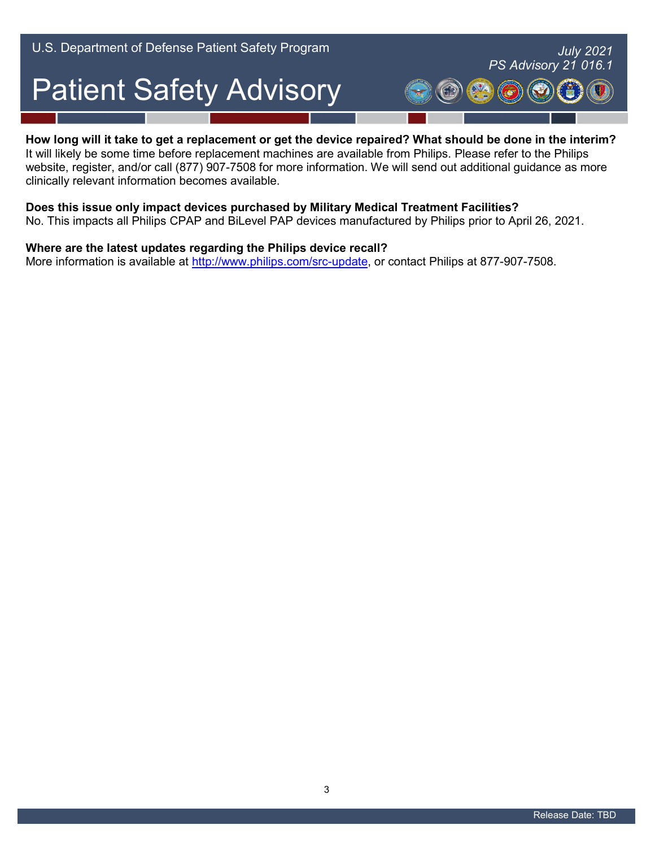#### **How long will it take to get a replacement or get the device repaired? What should be done in the interim?**

 It will likely be some time before replacement machines are available from Philips. Please refer to the Philips clinically relevant information becomes available. website, register, and/or call (877) 907-7508 for more information. We will send out additional guidance as more

#### **Does this issue only impact devices purchased by Military Medical Treatment Facilities?**

No. This impacts all Philips CPAP and BiLevel PAP devices manufactured by Philips prior to April 26, 2021.

#### **Where are the latest updates regarding the Philips device recall?**

More information is available at [http://www.philips.com/src-update,](http://www.philips.com/src-update) or contact Philips at 877-907-7508.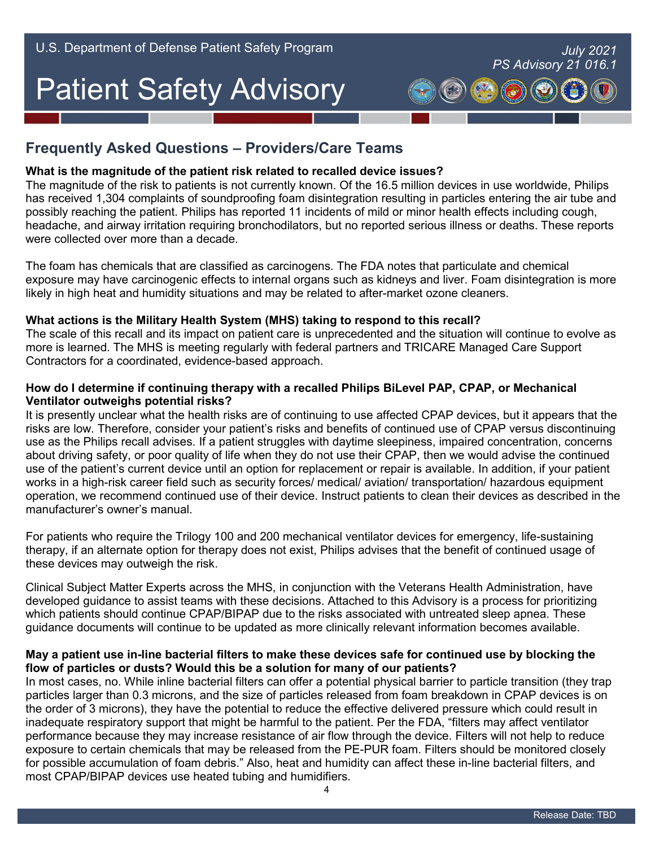### **Frequently Asked Questions – Providers/Care Teams**

#### **What is the magnitude of the patient risk related to recalled device issues?**

 has received 1,304 complaints of soundproofing foam disintegration resulting in particles entering the air tube and possibly reaching the patient. Philips has reported 11 incidents of mild or minor health effects including cough, The magnitude of the risk to patients is not currently known. Of the 16.5 million devices in use worldwide, Philips headache, and airway irritation requiring bronchodilators, but no reported serious illness or deaths. These reports were collected over more than a decade.

 The foam has chemicals that are classified as carcinogens. The FDA notes that particulate and chemical exposure may have carcinogenic effects to internal organs such as kidneys and liver. Foam disintegration is more likely in high heat and humidity situations and may be related to after-market ozone cleaners.

#### **What actions is the Military Health System (MHS) taking to respond to this recall?**

 The scale of this recall and its impact on patient care is unprecedented and the situation will continue to evolve as more is learned. The MHS is meeting regularly with federal partners and TRICARE Managed Care Support Contractors for a coordinated, evidence-based approach.

#### **How do I determine if continuing therapy with a recalled Philips BiLevel PAP, CPAP, or Mechanical Ventilator outweighs potential risks?**

 It is presently unclear what the health risks are of continuing to use affected CPAP devices, but it appears that the about driving safety, or poor quality of life when they do not use their CPAP, then we would advise the continued use of the patient's current device until an option for replacement or repair is available. In addition, if your patient works in a high-risk career field such as security forces/ medical/ aviation/ transportation/ hazardous equipment operation, we recommend continued use of their device. Instruct patients to clean their devices as described in the risks are low. Therefore, consider your patient's risks and benefits of continued use of CPAP versus discontinuing use as the Philips recall advises. If a patient struggles with daytime sleepiness, impaired concentration, concerns manufacturer's owner's manual.

For patients who require the Trilogy 100 and 200 mechanical ventilator devices for emergency, life-sustaining therapy, if an alternate option for therapy does not exist, Philips advises that the benefit of continued usage of these devices may outweigh the risk.

Clinical Subject Matter Experts across the MHS, in conjunction with the Veterans Health Administration, have developed guidance to assist teams with these decisions. Attached to this Advisory is a process for prioritizing which patients should continue CPAP/BIPAP due to the risks associated with untreated sleep apnea. These guidance documents will continue to be updated as more clinically relevant information becomes available.

#### **May a patient use in-line bacterial filters to make these devices safe for continued use by blocking the flow of particles or dusts? Would this be a solution for many of our patients?**

 In most cases, no. While inline bacterial filters can offer a potential physical barrier to particle transition (they trap particles larger than 0.3 microns, and the size of particles released from foam breakdown in CPAP devices is on the order of 3 microns), they have the potential to reduce the effective delivered pressure which could result in inadequate respiratory support that might be harmful to the patient. Per the FDA, "filters may affect ventilator performance because they may increase resistance of air flow through the device. Filters will not help to reduce exposure to certain chemicals that may be released from the PE-PUR foam. Filters should be monitored closely for possible accumulation of foam debris." Also, heat and humidity can affect these in-line bacterial filters, and most CPAP/BIPAP devices use heated tubing and humidifiers.

*- PS Advisory 21 016.1*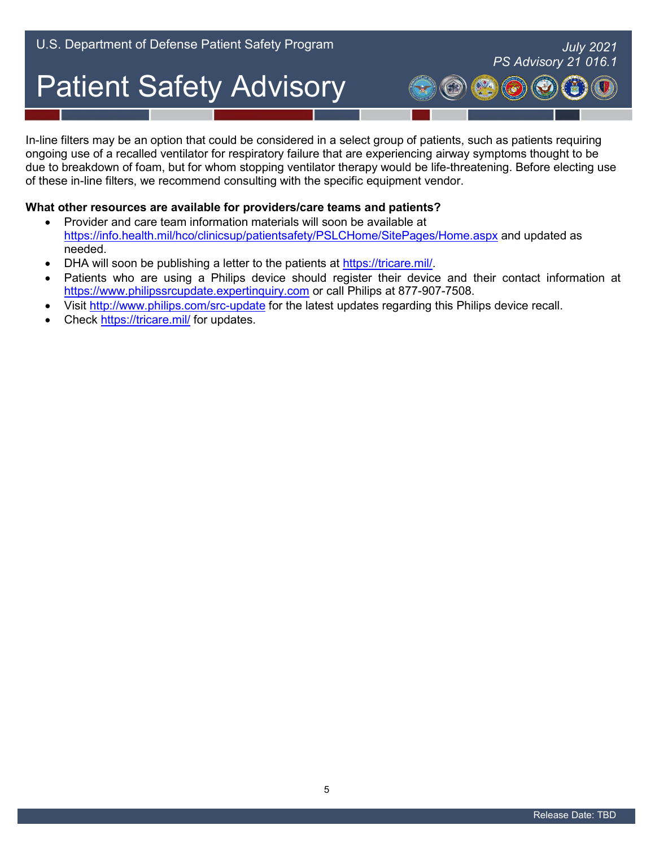In-line filters may be an option that could be considered in a select group of patients, such as patients requiring due to breakdown of foam, but for whom stopping ventilator therapy would be life-threatening. Before electing use ongoing use of a recalled ventilator for respiratory failure that are experiencing airway symptoms thought to be of these in-line filters, we recommend consulting with the specific equipment vendor.

#### **What other resources are available for providers/care teams and patients?**

- $\bullet$ • Provider and care team information materials will soon be available at <https://info.health.mil/hco/clinicsup/patientsafety/PSLCHome/SitePages/Home.aspx>and updated as needed.
- DHA will soon be publishing a letter to the patients at [https://tricare.mil/.](https://tricare.mil/)
- Patients who are using a Philips device should register their device and their contact information at [https://www.philipssrcupdate.expertinquiry.com](https://www.philipssrcupdate.expertinquiry.com/) or call Philips at 877-907-7508.
- Visit<http://www.philips.com/src-update>for the latest updates regarding this Philips device recall.
- Check<https://tricare.mil/>for updates.